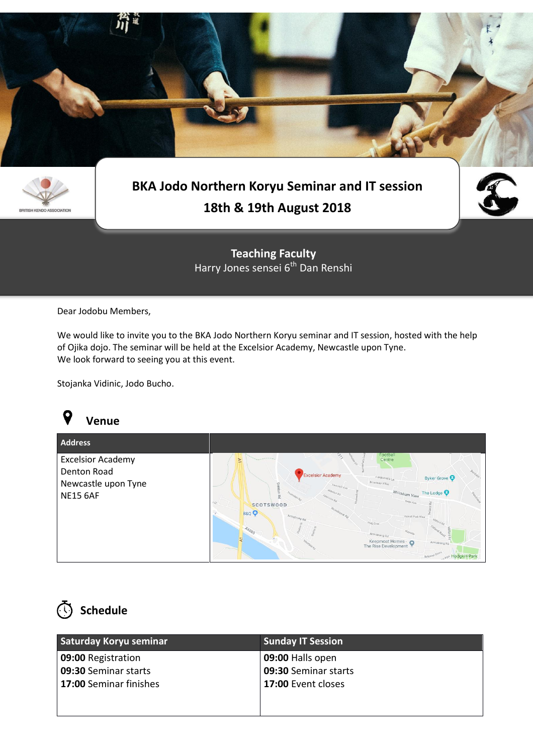



### **BKA Jodo Northern Koryu Seminar and IT session 18th & 19th August 2018**



**Teaching Faculty** Harry Jones sensei 6<sup>th</sup> Dan Renshi

Dear Jodobu Members,

We would like to invite you to the BKA Jodo Northern Koryu seminar and IT session, hosted with the help of Ojika dojo. The seminar will be held at the Excelsior Academy, Newcastle upon Tyne. We look forward to seeing you at this event.

Stojanka Vidinic, Jodo Bucho.



| <b>Address</b>                                                                    |                                                                                                                                                                                 |                                                                                                                                                                                                                                                                       |
|-----------------------------------------------------------------------------------|---------------------------------------------------------------------------------------------------------------------------------------------------------------------------------|-----------------------------------------------------------------------------------------------------------------------------------------------------------------------------------------------------------------------------------------------------------------------|
| <b>Excelsior Academy</b><br>Denton Road<br>Newcastle upon Tyne<br><b>NE15 6AF</b> | $\geq$<br><b>Excelsior Academy</b><br>Denton<br><b>Yewcroft Ave</b><br>꼸<br>T.C/<br><b>SCOTSWOOD</b><br>Woodstock Rd<br><b>B&amp;Q</b><br><b>Amstrong Rd</b><br>$A_{60B5}$<br>Ξ | Football<br>Centre<br>Bertram<br>Byker Grove<br>Ferguson's Ln<br>Broadway Villag<br>Whickham View<br>The Lodge C<br>Betts Ave<br>Axwell Park View<br>Haig Cres<br><b>Val R</b><br>Armstrong Rd<br>Keepmoat Homes -<br>$\circ$<br>Armstrong Rd<br>The Rise Development |



| Saturday Koryu seminar | <b>Sunday IT Session</b> |  |
|------------------------|--------------------------|--|
| 09:00 Registration     | 09:00 Halls open         |  |
| 09:30 Seminar starts   | 09:30 Seminar starts     |  |
| 17:00 Seminar finishes | 17:00 Event closes       |  |
|                        |                          |  |
|                        |                          |  |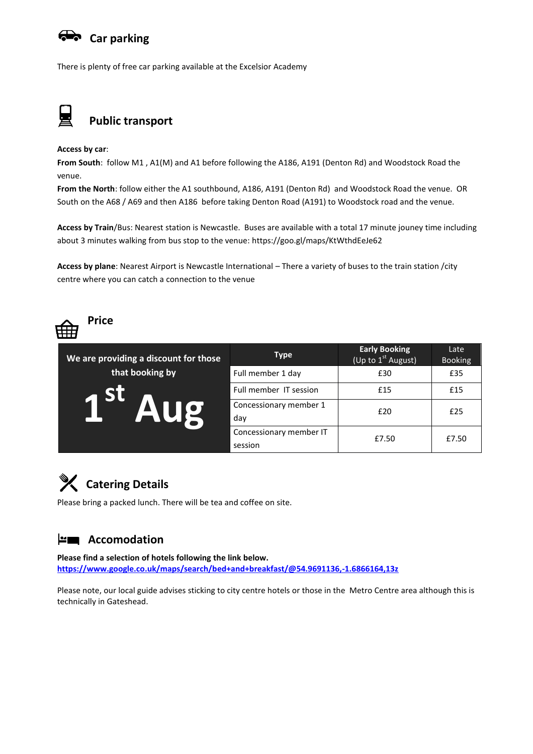#### **Car parking**

There is plenty of free car parking available at the Excelsior Academy



**Access by car**:

**From South**: follow M1 , A1(M) and A1 before following the A186, A191 (Denton Rd) and Woodstock Road the venue.

**From the North**: follow either the A1 southbound, A186, A191 (Denton Rd) and Woodstock Road the venue. OR South on the A68 / A69 and then A186 before taking Denton Road (A191) to Woodstock road and the venue.

**Access by Train**/Bus: Nearest station is Newcastle. Buses are available with a total 17 minute jouney time including about 3 minutes walking from bus stop to the venue: https://goo.gl/maps/KtWthdEeJe62

**Access by plane**: Nearest Airport is Newcastle International – There a variety of buses to the train station /city centre where you can catch a connection to the venue



| We are providing a discount for those | <b>Type</b>             | <b>Early Booking</b><br>(Up to $1st$ August) | Late<br><b>Booking</b> |
|---------------------------------------|-------------------------|----------------------------------------------|------------------------|
| that booking by                       | Full member 1 day       | £30                                          | £35                    |
| Ast Aug                               | Full member IT session  | £15                                          | £15                    |
|                                       | Concessionary member 1  | £20                                          | £25                    |
|                                       | day                     |                                              |                        |
|                                       | Concessionary member IT | £7.50                                        | £7.50                  |
|                                       | session                 |                                              |                        |

## **Catering Details**

Please bring a packed lunch. There will be tea and coffee on site.

#### **Manuel Accomodation**

**Please find a selection of hotels following the link below. <https://www.google.co.uk/maps/search/bed+and+breakfast/@54.9691136,-1.6866164,13z>**

Please note, our local guide advises sticking to city centre hotels or those in the Metro Centre area although this is technically in Gateshead.